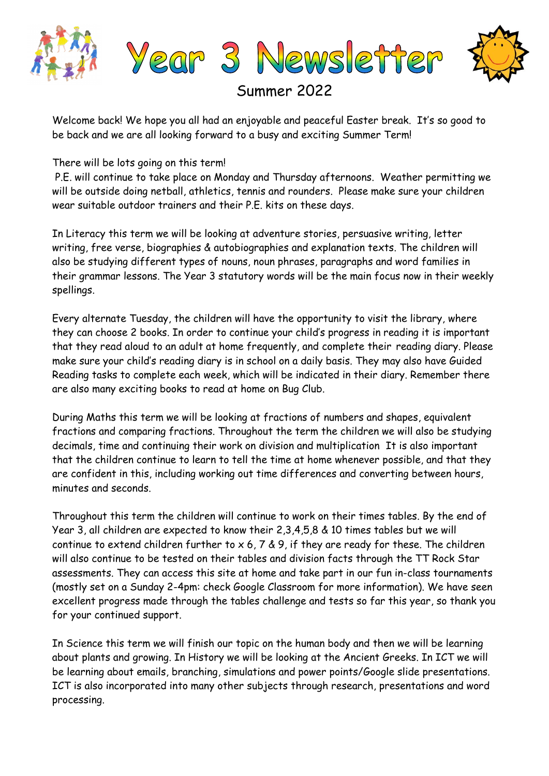

Summer 2022

Welcome back! We hope you all had an enjoyable and peaceful Easter break. It's so good to be back and we are all looking forward to a busy and exciting Summer Term!

There will be lots going on this term!

P.E. will continue to take place on Monday and Thursday afternoons. Weather permitting we will be outside doing netball, athletics, tennis and rounders. Please make sure your children wear suitable outdoor trainers and their P.E. kits on these days.

In Literacy this term we will be looking at adventure stories, persuasive writing, letter writing, free verse, biographies & autobiographies and explanation texts. The children will also be studying different types of nouns, noun phrases, paragraphs and word families in their grammar lessons. The Year 3 statutory words will be the main focus now in their weekly spellings.

Every alternate Tuesday, the children will have the opportunity to visit the library, where they can choose 2 books. In order to continue your child's progress in reading it is important that they read aloud to an adult at home frequently, and complete their reading diary. Please make sure your child's reading diary is in school on a daily basis. They may also have Guided Reading tasks to complete each week, which will be indicated in their diary. Remember there are also many exciting books to read at home on Bug Club.

During Maths this term we will be looking at fractions of numbers and shapes, equivalent fractions and comparing fractions. Throughout the term the children we will also be studying decimals, time and continuing their work on division and multiplication It is also important that the children continue to learn to tell the time at home whenever possible, and that they are confident in this, including working out time differences and converting between hours, minutes and seconds.

Throughout this term the children will continue to work on their times tables. By the end of Year 3, all children are expected to know their 2,3,4,5,8 & 10 times tables but we will continue to extend children further to  $x$  6, 7 & 9, if they are ready for these. The children will also continue to be tested on their tables and division facts through the TT Rock Star assessments. They can access this site at home and take part in our fun in-class tournaments (mostly set on a Sunday 2-4pm: check Google Classroom for more information). We have seen excellent progress made through the tables challenge and tests so far this year, so thank you for your continued support.

In Science this term we will finish our topic on the human body and then we will be learning about plants and growing. In History we will be looking at the Ancient Greeks. In ICT we will be learning about emails, branching, simulations and power points/Google slide presentations. ICT is also incorporated into many other subjects through research, presentations and word processing.